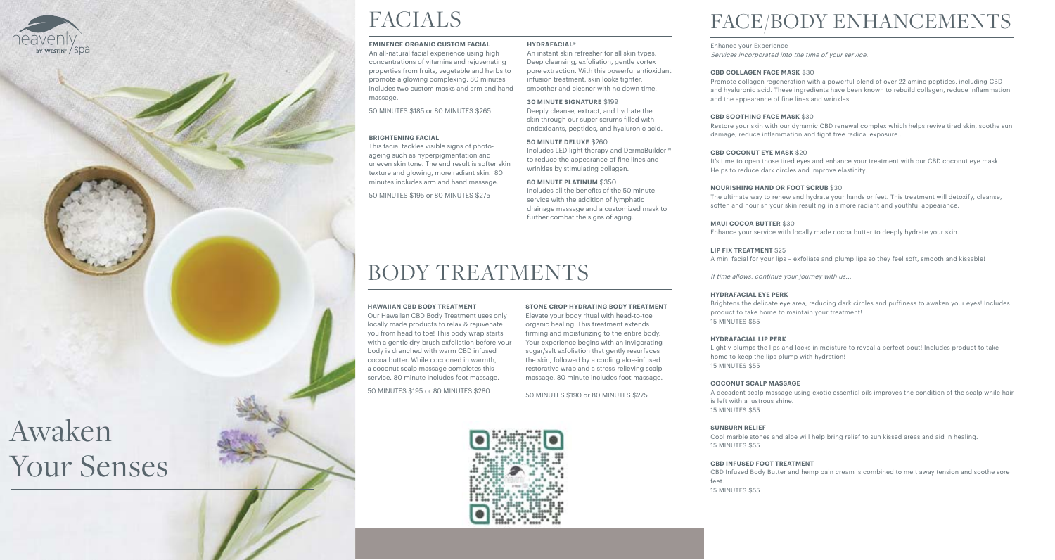## FACE/BODY ENHANCEMENTS

Enhance your Experience Services incorporated into the time of your service.

### **CBD COLLAGEN FACE MASK** \$30

Promote collagen regeneration with a powerful blend of over 22 amino peptides, including CBD and hyaluronic acid. These ingredients have been known to rebuild collagen, reduce inflammation and the appearance of fine lines and wrinkles.

**CBD SOOTHING FACE MASK** \$30 Restore your skin with our dynamic CBD renewal complex which helps revive tired skin, soothe sun damage, reduce inflammation and fight free radical exposure..

It's time to open those tired eyes and enhance your treatment with our CBD coconut eye mask.

**CBD COCONUT EYE MASK** \$20 Helps to reduce dark circles and improve elasticity.

## **NOURISHING HAND OR FOOT SCRUB** \$30

The ultimate way to renew and hydrate your hands or feet. This treatment will detoxify, cleanse, soften and nourish your skin resulting in a more radiant and youthful appearance.

**MAUI COCOA BUTTER** \$30

Enhance your service with locally made cocoa butter to deeply hydrate your skin.

An all-natural facial experience using high concentrations of vitamins and rejuvenating properties from fruits, vegetable and herbs to promote a glowing complexing. 80 minutes includes two custom masks and arm and hand massage.

**LIP FIX TREATMENT** \$25

A mini facial for your lips – exfoliate and plump lips so they feel soft, smooth and kissable!

If time allows, continue your journey with us...

### **HYDRAFACIAL EYE PERK**

Brightens the delicate eye area, reducing dark circles and puffiness to awaken your eyes! Includes

product to take home to maintain your treatment! 15 MINUTES \$55

### **HYDRAFACIAL LIP PERK**

Lightly plumps the lips and locks in moisture to reveal a perfect pout! Includes product to take

home to keep the lips plump with hydration! 15 MINUTES \$55

### **COCONUT SCALP MASSAGE**

A decadent scalp massage using exotic essential oils improves the condition of the scalp while hair

is left with a lustrous shine. 15 MINUTES \$55

**SUNBURN RELIEF**

Cool marble stones and aloe will help bring relief to sun kissed areas and aid in healing.

15 MINUTES \$55

### **CBD INFUSED FOOT TREATMENT**

CBD Infused Body Butter and hemp pain cream is combined to melt away tension and soothe sore

feet. 15 MINUTES \$55



WESTIN" /

## FACIALS

### **EMINENCE ORGANIC CUSTOM FACIAL**

50 MINUTES \$185 or 80 MINUTES \$265

### **BRIGHTENING FACIAL**

This facial tackles visible signs of photoageing such as hyperpigmentation and uneven skin tone. The end result is softer skin texture and glowing, more radiant skin. 80 minutes includes arm and hand massage.

50 MINUTES \$195 or 80 MINUTES \$275

### **HYDRAFACIAL®**

An instant skin refresher for all skin types. Deep cleansing, exfoliation, gentle vortex pore extraction. With this powerful antioxidant infusion treatment, skin looks tighter, smoother and cleaner with no down time.

### **30 MINUTE SIGNATURE** \$199

Deeply cleanse, extract, and hydrate the skin through our super serums filled with antioxidants, peptides, and hyaluronic acid.

### **50 MINUTE DELUXE** \$260

Includes LED light therapy and DermaBuilder™ to reduce the appearance of fine lines and wrinkles by stimulating collagen.

### **80 MINUTE PLATINUM** \$350

Includes all the benefits of the 50 minute service with the addition of lymphatic drainage massage and a customized mask to further combat the signs of aging.

## BODY TREATMENTS

### **HAWAIIAN CBD BODY TREATMENT**

Our Hawaiian CBD Body Treatment uses only locally made products to relax & rejuvenate you from head to toe! This body wrap starts with a gentle dry-brush exfoliation before your body is drenched with warm CBD infused cocoa butter. While cocooned in warmth, a coconut scalp massage completes this service. 80 minute includes foot massage.

50 MINUTES \$195 or 80 MINUTES \$280

### **STONE CROP HYDRATING BODY TREATMENT**

Elevate your body ritual with head-to-toe organic healing. This treatment extends firming and moisturizing to the entire body. Your experience begins with an invigorating sugar/salt exfoliation that gently resurfaces the skin, followed by a cooling aloe-infused restorative wrap and a stress-relieving scalp massage. 80 minute includes foot massage.

[50 MINUTES \\$190 or 80 MINUTES](http://twm96761.na.book4time.com/onlinebooking) \$275